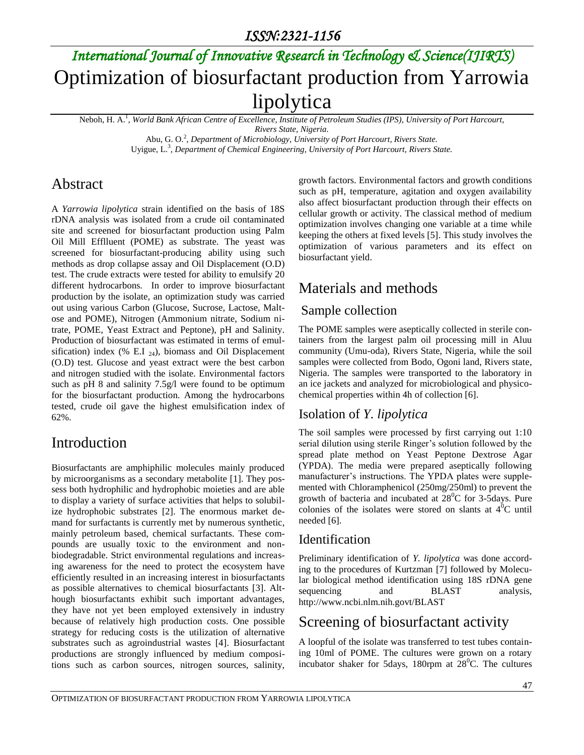# *International Journal of Innovative Research in Technology & Science(IJIRTS)* Optimization of biosurfactant production from Yarrowia lipolytica

Neboh, H. A.<sup>1</sup> , *World Bank African Centre of Excellence, Institute of Petroleum Studies (IPS), University of Port Harcourt,*

*Rivers State, Nigeria.*

Abu, G. O.<sup>2</sup>, *Department of Microbiology, University of Port Harcourt, Rivers State.* Uyigue, L.<sup>3</sup> *, Department of Chemical Engineering, University of Port Harcourt, Rivers State.*

### Abstract

A *Yarrowia lipolytica* strain identified on the basis of 18S rDNA analysis was isolated from a crude oil contaminated site and screened for biosurfactant production using Palm Oil Mill Efflluent (POME) as substrate. The yeast was screened for biosurfactant-producing ability using such methods as drop collapse assay and Oil Displacement (O.D) test. The crude extracts were tested for ability to emulsify 20 different hydrocarbons. In order to improve biosurfactant production by the isolate, an optimization study was carried out using various Carbon (Glucose, Sucrose, Lactose, Maltose and POME), Nitrogen (Ammonium nitrate, Sodium nitrate, POME, Yeast Extract and Peptone), pH and Salinity. Production of biosurfactant was estimated in terms of emulsification) index (% E.I  $_{24}$ ), biomass and Oil Displacement (O.D) test. Glucose and yeast extract were the best carbon and nitrogen studied with the isolate. Environmental factors such as pH 8 and salinity 7.5g/l were found to be optimum for the biosurfactant production. Among the hydrocarbons tested, crude oil gave the highest emulsification index of 62%.

## Introduction

Biosurfactants are amphiphilic molecules mainly produced by microorganisms as a secondary metabolite [1]. They possess both hydrophilic and hydrophobic moieties and are able to display a variety of surface activities that helps to solubilize hydrophobic substrates [2]. The enormous market demand for surfactants is currently met by numerous synthetic, mainly petroleum based, chemical surfactants. These compounds are usually toxic to the environment and nonbiodegradable. Strict environmental regulations and increasing awareness for the need to protect the ecosystem have efficiently resulted in an increasing interest in biosurfactants as possible alternatives to chemical biosurfactants [3]. Although biosurfactants exhibit such important advantages, they have not yet been employed extensively in industry because of relatively high production costs. One possible strategy for reducing costs is the utilization of alternative substrates such as agroindustrial wastes [4]. Biosurfactant productions are strongly influenced by medium compositions such as carbon sources, nitrogen sources, salinity,

growth factors. Environmental factors and growth conditions such as pH, temperature, agitation and oxygen availability also affect biosurfactant production through their effects on cellular growth or activity. The classical method of medium optimization involves changing one variable at a time while keeping the others at fixed levels [5]. This study involves the optimization of various parameters and its effect on biosurfactant yield.

## Materials and methods

#### Sample collection

The POME samples were aseptically collected in sterile containers from the largest palm oil processing mill in Aluu community (Umu-oda), Rivers State, Nigeria, while the soil samples were collected from Bodo, Ogoni land, Rivers state, Nigeria. The samples were transported to the laboratory in an ice jackets and analyzed for microbiological and physicochemical properties within 4h of collection [6].

#### Isolation of *Y. lipolytica*

The soil samples were processed by first carrying out 1:10 serial dilution using sterile Ringer's solution followed by the spread plate method on Yeast Peptone Dextrose Agar (YPDA). The media were prepared aseptically following manufacturer's instructions. The YPDA plates were supplemented with Chloramphenicol (250mg/250ml) to prevent the growth of bacteria and incubated at  $28^{\circ}$ C for 3-5days. Pure colonies of the isolates were stored on slants at  $4^{0}C$  until needed [6].

### Identification

Preliminary identification of *Y. lipolytica* was done according to the procedures of Kurtzman [7] followed by Molecular biological method identification using 18S rDNA gene sequencing and BLAST analysis, http://www.ncbi.nlm.nih.govt/BLAST

## Screening of biosurfactant activity

A loopful of the isolate was transferred to test tubes containing 10ml of POME. The cultures were grown on a rotary incubator shaker for 5days, 180rpm at  $28^{\circ}$ C. The cultures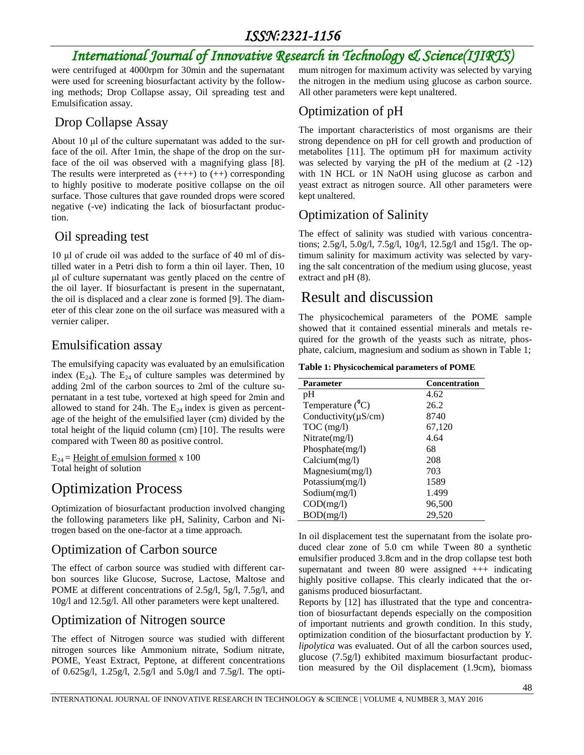## *ISSN:2321-1156*

# *International Journal of Innovative Research in Technology & Science(IJIRTS)*

were centrifuged at 4000rpm for 30min and the supernatant were used for screening biosurfactant activity by the following methods; Drop Collapse assay, Oil spreading test and Emulsification assay.

#### Drop Collapse Assay

About 10 μl of the culture supernatant was added to the surface of the oil. After 1min, the shape of the drop on the surface of the oil was observed with a magnifying glass [8]. The results were interpreted as  $(++)$  to  $(++)$  corresponding to highly positive to moderate positive collapse on the oil surface. Those cultures that gave rounded drops were scored negative (-ve) indicating the lack of biosurfactant production.

#### Oil spreading test

10 μl of crude oil was added to the surface of 40 ml of distilled water in a Petri dish to form a thin oil layer. Then, 10 μl of culture supernatant was gently placed on the centre of the oil layer. If biosurfactant is present in the supernatant, the oil is displaced and a clear zone is formed [9]. The diameter of this clear zone on the oil surface was measured with a vernier caliper.

#### Emulsification assay

The emulsifying capacity was evaluated by an emulsification index  $(E_{24})$ . The  $E_{24}$  of culture samples was determined by adding 2ml of the carbon sources to 2ml of the culture supernatant in a test tube, vortexed at high speed for 2min and allowed to stand for 24h. The  $E_{24}$  index is given as percentage of the height of the emulsified layer (cm) divided by the total height of the liquid column (cm) [10]. The results were compared with Tween 80 as positive control.

 $E_{24}$  = Height of emulsion formed x 100 Total height of solution

## Optimization Process

Optimization of biosurfactant production involved changing the following parameters like pH, Salinity, Carbon and Nitrogen based on the one-factor at a time approach.

#### Optimization of Carbon source

The effect of carbon source was studied with different carbon sources like Glucose, Sucrose, Lactose, Maltose and POME at different concentrations of 2.5g/l, 5g/l, 7.5g/l, and 10g/l and 12.5g/l. All other parameters were kept unaltered.

#### Optimization of Nitrogen source

The effect of Nitrogen source was studied with different nitrogen sources like Ammonium nitrate, Sodium nitrate, POME, Yeast Extract, Peptone, at different concentrations of 0.625g/l, 1.25g/l, 2.5g/l and 5.0g/l and 7.5g/l. The optimum nitrogen for maximum activity was selected by varying the nitrogen in the medium using glucose as carbon source. All other parameters were kept unaltered.

### Optimization of pH

The important characteristics of most organisms are their strong dependence on pH for cell growth and production of metabolites [11]. The optimum pH for maximum activity was selected by varying the pH of the medium at (2 -12) with 1N HCL or 1N NaOH using glucose as carbon and yeast extract as nitrogen source. All other parameters were kept unaltered.

### Optimization of Salinity

The effect of salinity was studied with various concentrations; 2.5g/l, 5.0g/l, 7.5g/l, 10g/l, 12.5g/l and 15g/l. The optimum salinity for maximum activity was selected by varying the salt concentration of the medium using glucose, yeast extract and pH (8).

## Result and discussion

The physicochemical parameters of the POME sample showed that it contained essential minerals and metals required for the growth of the yeasts such as nitrate, phosphate, calcium, magnesium and sodium as shown in Table 1;

**Table 1: Physicochemical parameters of POME**

| <b>Parameter</b>          | <b>Concentration</b> |
|---------------------------|----------------------|
| pH                        | 4.62                 |
| Temperature $(^0C)$       | 26.2                 |
| Conductivity( $\mu$ S/cm) | 8740                 |
| $TOC$ (mg/l)              | 67,120               |
| Nitrate(mg/l)             | 4.64                 |
| Phosphate(mg/l)           | 68                   |
| Calcium(mg/l)             | 208                  |
| Magnesium(mg/l)           | 703                  |
| Potassium(mg/l)           | 1589                 |
| Sodium(mg/l)              | 1.499                |
| COD(mg/l)                 | 96,500               |
| BOD(mg/l)                 | 29,520               |

In oil displacement test the supernatant from the isolate produced clear zone of 5.0 cm while Tween 80 a synthetic emulsifier produced 3.8cm and in the drop collapse test both supernatant and tween 80 were assigned  $++$  indicating highly positive collapse. This clearly indicated that the organisms produced biosurfactant.

Reports by [12] has illustrated that the type and concentration of biosurfactant depends especially on the composition of important nutrients and growth condition. In this study, optimization condition of the biosurfactant production by *Y. lipolytica* was evaluated. Out of all the carbon sources used, glucose (7.5g/l) exhibited maximum biosurfactant production measured by the Oil displacement (1.9cm), biomass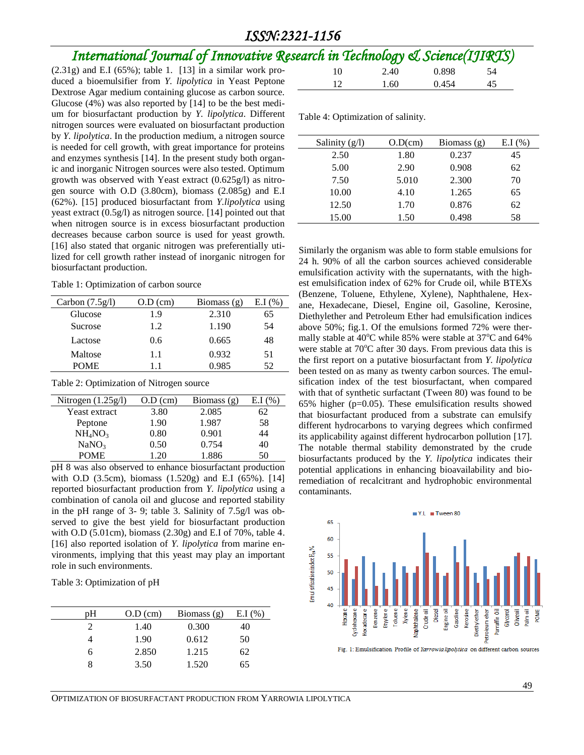#### *ISSN:2321-1156*

## *International Journal of Innovative Research in Technology & Science(IJIRTS)*

 $(2.31g)$  and E.I  $(65\%)$ ; table 1. [13] in a similar work produced a bioemulsifier from *Y. lipolytica* in Yeast Peptone Dextrose Agar medium containing glucose as carbon source. Glucose (4%) was also reported by [14] to be the best medium for biosurfactant production by *Y. lipolytica*. Different nitrogen sources were evaluated on biosurfactant production by *Y. lipolytica*. In the production medium, a nitrogen source is needed for cell growth, with great importance for proteins and enzymes synthesis [14]. In the present study both organic and inorganic Nitrogen sources were also tested. Optimum growth was observed with Yeast extract (0.625g/l) as nitrogen source with O.D (3.80cm), biomass (2.085g) and E.I (62%). [15] produced biosurfactant from *Y.lipolytica* using yeast extract (0.5g/l) as nitrogen source. [14] pointed out that when nitrogen source is in excess biosurfactant production decreases because carbon source is used for yeast growth. [16] also stated that organic nitrogen was preferentially utilized for cell growth rather instead of inorganic nitrogen for biosurfactant production.

Table 1: Optimization of carbon source

| Carbon $(7.5g/l)$ | $O.D$ (cm) | Biomass $(g)$ | E.I(%) |
|-------------------|------------|---------------|--------|
| Glucose           | 1.9        | 2.310         | 65     |
| Sucrose           | 1.2        | 1.190         | 54     |
| Lactose           | 0.6        | 0.665         | 48     |
| Maltose           | 1.1        | 0.932         | 51     |
| <b>POME</b>       | 11         | 0.985         | 52     |
|                   |            |               |        |

Table 2: Optimization of Nitrogen source

| Nitrogen $(1.25g/l)$            | $O.D$ (cm) | Biomass $(g)$ | E.I(% |
|---------------------------------|------------|---------------|-------|
| Yeast extract                   | 3.80       | 2.085         | 62    |
| Peptone                         | 1.90       | 1.987         | 58    |
| NH <sub>4</sub> NO <sub>3</sub> | 0.80       | 0.901         | 44    |
| NaNO <sub>3</sub>               | 0.50       | 0.754         | 40    |
| <b>POME</b>                     | 1.20       | 1.886         | 50    |

pH 8 was also observed to enhance biosurfactant production with O.D (3.5cm), biomass (1.520g) and E.I (65%). [14] reported biosurfactant production from *Y. lipolytica* using a combination of canola oil and glucose and reported stability in the pH range of 3- 9; table 3. Salinity of 7.5g/l was observed to give the best yield for biosurfactant production with O.D (5.01cm), biomass (2.30g) and E.I of 70%, table 4. [16] also reported isolation of *Y. lipolytica* from marine environments, implying that this yeast may play an important role in such environments.

Table 3: Optimization of pH

| pΗ | $O.D$ (cm) | Biomass $(g)$ | E.I(%) |
|----|------------|---------------|--------|
|    | 1.40       | 0.300         | 40     |
|    | 1.90       | 0.612         | 50     |
| h  | 2.850      | 1.215         | 62     |
|    | 3.50       | 1.520         | 65     |
|    |            |               |        |

|    |                | $\mu$ in rechnology $\infty$ science $\mu$ $\mu$ |     |
|----|----------------|--------------------------------------------------|-----|
| 10 | 2.40           | 0.898                                            | -54 |
| 12 | $1.60^{\circ}$ | 0.454                                            | 45  |

Table 4: Optimization of salinity.

| Salinity $(g/l)$ | $O.D$ (cm) | Biomass $(g)$ | E.I(%) |
|------------------|------------|---------------|--------|
| 2.50             | 1.80       | 0.237         | 45     |
| 5.00             | 2.90       | 0.908         | 62     |
| 7.50             | 5.010      | 2.300         | 70     |
| 10.00            | 4.10       | 1.265         | 65     |
| 12.50            | 1.70       | 0.876         | 62     |
| 15.00            | 1.50       | 0.498         | 58     |

Similarly the organism was able to form stable emulsions for 24 h. 90% of all the carbon sources achieved considerable emulsification activity with the supernatants, with the highest emulsification index of 62% for Crude oil, while BTEXs (Benzene, Toluene, Ethylene, Xylene), Naphthalene, Hexane, Hexadecane, Diesel, Engine oil, Gasoline, Kerosine, Diethylether and Petroleum Ether had emulsification indices above 50%; fig.1. Of the emulsions formed 72% were thermally stable at  $40^{\circ}$ C while 85% were stable at 37 $^{\circ}$ C and 64% were stable at  $70^{\circ}$ C after 30 days. From previous data this is the first report on a putative biosurfactant from *Y. lipolytica* been tested on as many as twenty carbon sources. The emulsification index of the test biosurfactant, when compared with that of synthetic surfactant (Tween 80) was found to be 65% higher (p=0.05). These emulsification results showed that biosurfactant produced from a substrate can emulsify different hydrocarbons to varying degrees which confirmed its applicability against different hydrocarbon pollution [17]. The notable thermal stability demonstrated by the crude biosurfactants produced by the *Y. lipolytica* indicates their potential applications in enhancing bioavailability and bioremediation of recalcitrant and hydrophobic environmental contaminants.



Fig. 1: Emulsification Profile of Yarrowia lipolytica on different carbon sources

OPTIMIZATION OF BIOSURFACTANT PRODUCTION FROM YARROWIA LIPOLYTICA